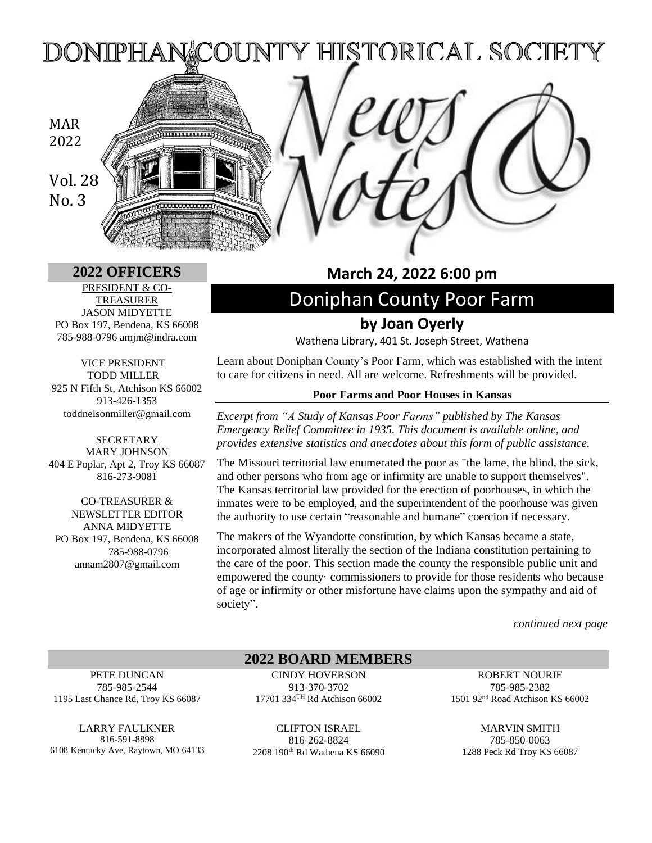Y HISTORICAL SOCIETY DONIPHAI

# MAR 2022

Vol. 28 No. 3

PRESIDENT & CO-TREASURER JASON MIDYETTE PO Box 197, Bendena, KS 66008 785-988-0796 amjm@indra.com

VICE PRESIDENT TODD MILLER 925 N Fifth St, Atchison KS 66002 913-426-1353 toddnelsonmiller@gmail.com

**SECRETARY** MARY JOHNSON 404 E Poplar, Apt 2, Troy KS 66087 816-273-9081

CO-TREASURER & NEWSLETTER EDITOR ANNA MIDYETTE PO Box 197, Bendena, KS 66008 785-988-0796 annam2807@gmail.com

## **2022 OFFICERS March 24, 2022 6:00 pm**

# Doniphan County Poor Farm **by Joan Oyerly**

Wathena Library, 401 St. Joseph Street, Wathena

Learn about Doniphan County's Poor Farm, which was established with the intent to care for citizens in need. All are welcome. Refreshments will be provided.

#### **Poor Farms and Poor Houses in Kansas**

*Excerpt from "A Study of Kansas Poor Farms" published by The Kansas Emergency Relief Committee in 1935. This document is available online, and provides extensive statistics and anecdotes about this form of public assistance.*

The Missouri territorial law enumerated the poor as "the lame, the blind, the sick, and other persons who from age or infirmity are unable to support themselves". The Kansas territorial law provided for the erection of poorhouses, in which the inmates were to be employed, and the superintendent of the poorhouse was given the authority to use certain "reasonable and humane" coercion if necessary.

The makers of the Wyandotte constitution, by which Kansas became a state, incorporated almost literally the section of the Indiana constitution pertaining to the care of the poor. This section made the county the responsible public unit and empowered the county· commissioners to provide for those residents who because of age or infirmity or other misfortune have claims upon the sympathy and aid of society".

*continued next page*

PETE DUNCAN 785-985-2544 1195 Last Chance Rd, Troy KS 66087

LARRY FAULKNER 816-591-8898 6108 Kentucky Ave, Raytown, MO 64133 **2022 BOARD MEMBERS**

CINDY HOVERSON 913-370-3702 17701 334TH Rd Atchison 66002

CLIFTON ISRAEL 816-262-8824 2208 190th Rd Wathena KS 66090

ROBERT NOURIE 785-985-2382 1501 92nd Road Atchison KS 66002

MARVIN SMITH 785-850-0063 1288 Peck Rd Troy KS 66087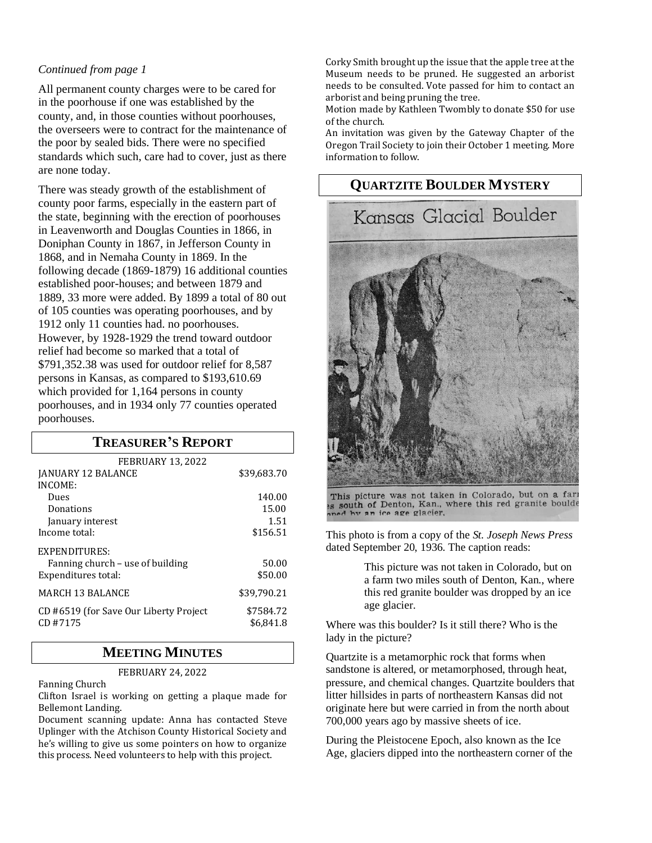### *Continued from page 1*

All permanent county charges were to be cared for in the poorhouse if one was established by the county, and, in those counties without poorhouses, the overseers were to contract for the maintenance of the poor by sealed bids. There were no specified standards which such, care had to cover, just as there are none today.

There was steady growth of the establishment of county poor farms, especially in the eastern part of the state, beginning with the erection of poorhouses in Leavenworth and Douglas Counties in 1866, in Doniphan County in 1867, in Jefferson County in 1868, and in Nemaha County in 1869. In the following decade (1869-1879) 16 additional counties established poor-houses; and between 1879 and 1889, 33 more were added. By 1899 a total of 80 out of 105 counties was operating poorhouses, and by 1912 only 11 counties had. no poorhouses. However, by 1928-1929 the trend toward outdoor relief had become so marked that a total of \$791,352.38 was used for outdoor relief for 8,587 persons in Kansas, as compared to \$193,610.69 which provided for 1,164 persons in county poorhouses, and in 1934 only 77 counties operated poorhouses.

### **TREASURER'S REPORT**

| <b>FEBRUARY 13, 2022</b>                          |                        |
|---------------------------------------------------|------------------------|
| JANUARY 12 BALANCE                                | \$39,683.70            |
| INCOME:                                           |                        |
| Dues                                              | 140.00                 |
| Donations                                         | 15.00                  |
| January interest                                  | 1.51                   |
| Income total:                                     | \$156.51               |
| EXPENDITURES:                                     |                        |
| Fanning church - use of building                  | 50.00                  |
| Expenditures total:                               | \$50.00                |
| <b>MARCH 13 BALANCE</b>                           | \$39,790.21            |
| CD #6519 (for Save Our Liberty Project<br>CD#7175 | \$7584.72<br>\$6.841.8 |

### **MEETING MINUTES**

FEBRUARY 24, 2022

Fanning Church

Clifton Israel is working on getting a plaque made for Bellemont Landing.

Document scanning update: Anna has contacted Steve Uplinger with the Atchison County Historical Society and he's willing to give us some pointers on how to organize this process. Need volunteers to help with this project.

Corky Smith brought up the issue that the apple tree at the Museum needs to be pruned. He suggested an arborist needs to be consulted. Vote passed for him to contact an arborist and being pruning the tree.

Motion made by Kathleen Twombly to donate \$50 for use of the church.

An invitation was given by the Gateway Chapter of the Oregon Trail Society to join their October 1 meeting. More information to follow.



This picture was not taken in Colorado, but on a fari es south of Denton, Kan., where this red granite boulde ned by an ice age glacier,

This photo is from a copy of the *St. Joseph News Press*  dated September 20, 1936. The caption reads:

> This picture was not taken in Colorado, but on a farm two miles south of Denton, Kan., where this red granite boulder was dropped by an ice age glacier.

Where was this boulder? Is it still there? Who is the lady in the picture?

Quartzite is a metamorphic rock that forms when sandstone is altered, or metamorphosed, through heat, pressure, and chemical changes. Quartzite boulders that litter hillsides in parts of northeastern Kansas did not originate here but were carried in from the north about 700,000 years ago by massive sheets of ice.

During the Pleistocene Epoch, also known as the Ice Age, glaciers dipped into the northeastern corner of the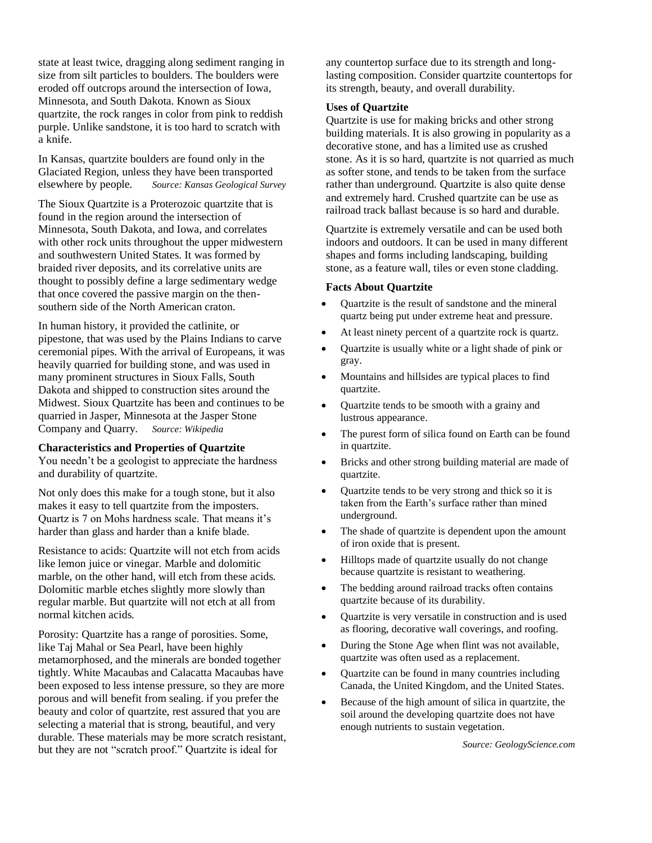state at least twice, dragging along sediment ranging in size from silt particles to boulders. The boulders were eroded off outcrops around the intersection of Iowa, Minnesota, and South Dakota. Known as Sioux quartzite, the rock ranges in color from pink to reddish purple. Unlike sandstone, it is too hard to scratch with a knife.

In Kansas, quartzite boulders are found only in the Glaciated Region, unless they have been transported elsewhere by people. *Source: Kansas Geological Survey*

The Sioux Quartzite is a Proterozoic quartzite that is found in the region around the intersection of Minnesota, South Dakota, and Iowa, and correlates with other rock units throughout the upper midwestern and southwestern United States. It was formed by braided river deposits, and its correlative units are thought to possibly define a large sedimentary wedge that once covered the passive margin on the thensouthern side of the North American craton.

In human history, it provided the catlinite, or pipestone, that was used by the Plains Indians to carve ceremonial pipes. With the arrival of Europeans, it was heavily quarried for building stone, and was used in many prominent structures in Sioux Falls, South Dakota and shipped to construction sites around the Midwest. Sioux Quartzite has been and continues to be quarried in Jasper, Minnesota at the Jasper Stone Company and Quarry. *Source: Wikipedia*

#### **Characteristics and Properties of Quartzite**

You needn't be a geologist to appreciate the hardness and durability of quartzite.

Not only does this make for a tough stone, but it also makes it easy to tell quartzite from the imposters. Quartz is 7 on Mohs hardness scale. That means it's harder than glass and harder than a knife blade.

Resistance to acids: Quartzite will not etch from acids like lemon juice or vinegar. Marble and dolomitic marble, on the other hand, will etch from these acids. Dolomitic marble etches slightly more slowly than regular marble. But quartzite will not etch at all from normal kitchen acids.

Porosity: Quartzite has a range of porosities. Some, like Taj Mahal or Sea Pearl, have been highly metamorphosed, and the minerals are bonded together tightly. White Macaubas and Calacatta Macaubas have been exposed to less intense pressure, so they are more porous and will benefit from sealing. if you prefer the beauty and color of quartzite, rest assured that you are selecting a material that is strong, beautiful, and very durable. These materials may be more scratch resistant, but they are not "scratch proof." Quartzite is ideal for

any countertop surface due to its strength and longlasting composition. Consider quartzite countertops for its strength, beauty, and overall durability.

#### **Uses of Quartzite**

Quartzite is use for making bricks and other strong building materials. It is also growing in popularity as a decorative stone, and has a limited use as crushed stone. As it is so hard, quartzite is not quarried as much as softer stone, and tends to be taken from the surface rather than underground. Quartzite is also quite dense and extremely hard. Crushed quartzite can be use as railroad track ballast because is so hard and durable.

Quartzite is extremely versatile and can be used both indoors and outdoors. It can be used in many different shapes and forms including landscaping, building stone, as a feature wall, tiles or even stone cladding.

#### **Facts About Quartzite**

- Quartzite is the result of sandstone and the mineral quartz being put under extreme heat and pressure.
- At least ninety percent of a quartzite rock is quartz.
- Quartzite is usually white or a light shade of pink or gray.
- Mountains and hillsides are typical places to find quartzite.
- Quartzite tends to be smooth with a grainy and lustrous appearance.
- The purest form of silica found on Earth can be found in quartzite.
- Bricks and other strong building material are made of quartzite.
- Quartzite tends to be very strong and thick so it is taken from the Earth's surface rather than mined underground.
- The shade of quartzite is dependent upon the amount of iron oxide that is present.
- Hilltops made of quartzite usually do not change because quartzite is resistant to weathering.
- The bedding around railroad tracks often contains quartzite because of its durability.
- Quartzite is very versatile in construction and is used as flooring, decorative wall coverings, and roofing.
- During the Stone Age when flint was not available, quartzite was often used as a replacement.
- Quartzite can be found in many countries including Canada, the United Kingdom, and the United States.
- Because of the high amount of silica in quartzite, the soil around the developing quartzite does not have enough nutrients to sustain vegetation.